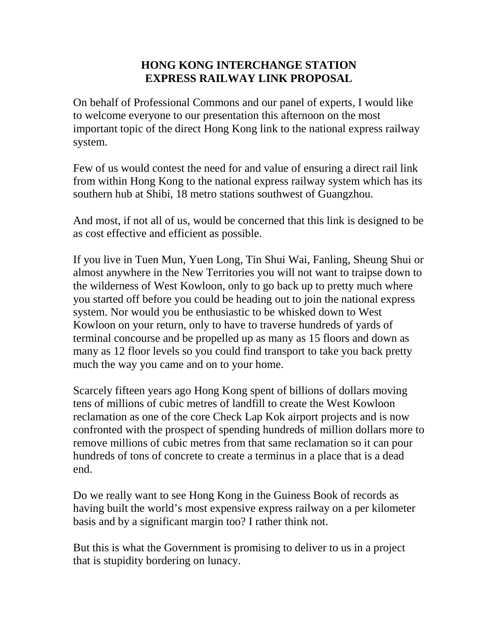## **HONG KONG INTERCHANGE STATION EXPRESS RAILWAY LINK PROPOSAL**

On behalf of Professional Commons and our panel of experts, I would like to welcome everyone to our presentation this afternoon on the most important topic of the direct Hong Kong link to the national express railway system.

Few of us would contest the need for and value of ensuring a direct rail link from within Hong Kong to the national express railway system which has its southern hub at Shibi, 18 metro stations southwest of Guangzhou.

And most, if not all of us, would be concerned that this link is designed to be as cost effective and efficient as possible.

If you live in Tuen Mun, Yuen Long, Tin Shui Wai, Fanling, Sheung Shui or almost anywhere in the New Territories you will not want to traipse down to the wilderness of West Kowloon, only to go back up to pretty much where you started off before you could be heading out to join the national express system. Nor would you be enthusiastic to be whisked down to West Kowloon on your return, only to have to traverse hundreds of yards of terminal concourse and be propelled up as many as 15 floors and down as many as 12 floor levels so you could find transport to take you back pretty much the way you came and on to your home.

Scarcely fifteen years ago Hong Kong spent of billions of dollars moving tens of millions of cubic metres of landfill to create the West Kowloon reclamation as one of the core Check Lap Kok airport projects and is now confronted with the prospect of spending hundreds of million dollars more to remove millions of cubic metres from that same reclamation so it can pour hundreds of tons of concrete to create a terminus in a place that is a dead end.

Do we really want to see Hong Kong in the Guiness Book of records as having built the world's most expensive express railway on a per kilometer basis and by a significant margin too? I rather think not.

But this is what the Government is promising to deliver to us in a project that is stupidity bordering on lunacy.